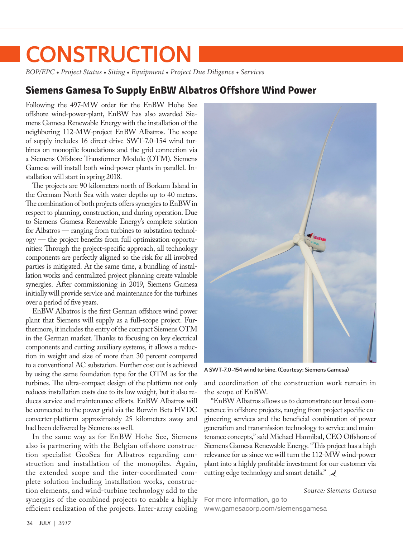# **CONSTRUCTION**

*BOP/EPC • Project Status • Siting • Equipment • Project Due Diligence • Services*

## **Siemens Gamesa To Supply EnBW Albatros Offshore Wind Power**

Following the 497-MW order for the EnBW Hohe See offshore wind-power-plant, EnBW has also awarded Siemens Gamesa Renewable Energy with the installation of the neighboring 112-MW-project EnBW Albatros. The scope of supply includes 16 direct-drive SWT-7.0-154 wind turbines on monopile foundations and the grid connection via a Siemens Offshore Transformer Module (OTM). Siemens Gamesa will install both wind-power plants in parallel. Installation will start in spring 2018.

The projects are 90 kilometers north of Borkum Island in the German North Sea with water depths up to 40 meters. The combination of both projects offers synergies to EnBW in respect to planning, construction, and during operation. Due to Siemens Gamesa Renewable Energy's complete solution for Albatros — ranging from turbines to substation technology — the project benefits from full optimization opportunities: Through the project-specific approach, all technology components are perfectly aligned so the risk for all involved parties is mitigated. At the same time, a bundling of installation works and centralized project planning create valuable synergies. After commissioning in 2019, Siemens Gamesa initially will provide service and maintenance for the turbines over a period of five years.

EnBW Albatros is the first German offshore wind power plant that Siemens will supply as a full-scope project. Furthermore, it includes the entry of the compact Siemens OTM in the German market. Thanks to focusing on key electrical components and cutting auxiliary systems, it allows a reduction in weight and size of more than 30 percent compared to a conventional AC substation. Further cost out is achieved by using the same foundation type for the OTM as for the turbines. The ultra-compact design of the platform not only reduces installation costs due to its low weight, but it also reduces service and maintenance efforts. EnBW Albatros will be connected to the power grid via the Borwin Beta HVDC converter-platform approximately 25 kilometers away and had been delivered by Siemens as well.

In the same way as for EnBW Hohe See, Siemens also is partnering with the Belgian offshore construction specialist GeoSea for Albatros regarding construction and installation of the monopiles. Again, the extended scope and the inter-coordinated complete solution including installation works, construction elements, and wind-turbine technology add to the synergies of the combined projects to enable a highly efficient realization of the projects. Inter-array cabling [www.gamesacorp.com/siemensgamesa](http://www.gamesacorp.com/siemensgamesa) 



**A SWT-7.0-154 wind turbine. (Courtesy: Siemens Gamesa)**

and coordination of the construction work remain in the scope of EnBW.

"EnBW Albatros allows us to demonstrate our broad competence in offshore projects, ranging from project specific engineering services and the beneficial combination of power generation and transmission technology to service and maintenance concepts," said Michael Hannibal, CEO Offshore of Siemens Gamesa Renewable Energy. "This project has a high relevance for us since we will turn the 112-MW wind-power plant into a highly profitable investment for our customer via cutting edge technology and smart details."

*Source: Siemens Gamesa* For more information, go to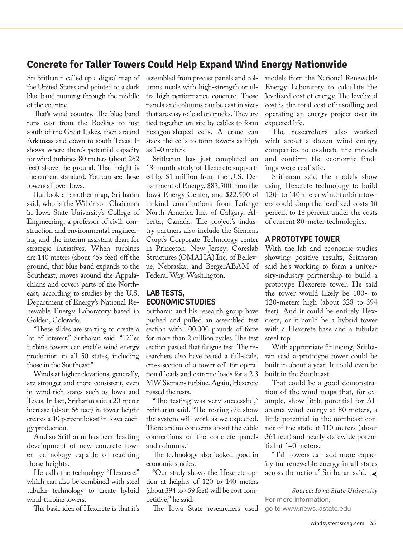# **Concrete for Taller Towers Could Help Expand Wind Energy Nationwide**

Sri Sritharan called up a digital map of the United States and pointed to a dark blue band running through the middle of the country.

That's wind country. The blue band runs east from the Rockies to just south of the Great Lakes, then around Arkansas and down to south Texas. It shows where there's potential capacity for wind turbines 80 meters (about 262 feet) above the ground. That height is the current standard. You can see those towers all over Iowa.

But look at another map, Sritharan said, who is the Wilkinson Chairman in Iowa State University's College of Engineering, a professor of civil, construction and environmental engineering and the interim assistant dean for strategic initiatives. When turbines are 140 meters (about 459 feet) off the ground, that blue band expands to the Southeast, moves around the Appalachians and covers parts of the Northeast, according to studies by the U.S. Department of Energy's National Renewable Energy Laboratory based in Golden, Colorado.

"These slides are starting to create a lot of interest," Sritharan said. "Taller turbine towers can enable wind energy production in all 50 states, including those in the Southeast."

Winds at higher elevations, generally, are stronger and more consistent, even in wind-rich states such as Iowa and Texas. In fact, Sritharan said a 20-meter increase (about 66 feet) in tower height creates a 10 percent boost in Iowa energy production.

And so Sritharan has been leading development of new concrete tower technology capable of reaching those heights.

He calls the technology "Hexcrete," which can also be combined with steel tubular technology to create hybrid wind-turbine towers.

The basic idea of Hexcrete is that it's

assembled from precast panels and columns made with high-strength or ultra-high-performance concrete. Those panels and columns can be cast in sizes that are easy to load on trucks. They are tied together on-site by cables to form hexagon-shaped cells. A crane can stack the cells to form towers as high as 140 meters.

Sritharan has just completed an 18-month study of Hexcrete supported by \$1 million from the U.S. Department of Energy, \$83,500 from the Iowa Energy Center, and \$22,500 of in-kind contributions from Lafarge North America Inc. of Calgary, Alberta, Canada. The project's industry partners also include the Siemens Corp.'s Corporate Technology center in Princeton, New Jersey; Coreslab Structures (OMAHA) Inc. of Bellevue, Nebraska; and BergerABAM of Federal Way, Washington.

#### **LAB TESTS, ECONOMIC STUDIES**

Sritharan and his research group have pushed and pulled an assembled test section with 100,000 pounds of force for more than 2 million cycles. The test section passed that fatigue test. The researchers also have tested a full-scale, cross-section of a tower cell for operational loads and extreme loads for a 2.3 MW Siemens turbine. Again, Hexcrete passed the tests.

"The testing was very successful," Sritharan said. "The testing did show the system will work as we expected. There are no concerns about the cable connections or the concrete panels and columns."

The technology also looked good in economic studies.

"Our study shows the Hexcrete option at heights of 120 to 140 meters (about 394 to 459 feet) will be cost competitive," he said.

The Iowa State researchers used

models from the National Renewable Energy Laboratory to calculate the levelized cost of energy. The levelized cost is the total cost of installing and operating an energy project over its expected life.

The researchers also worked with about a dozen wind-energy companies to evaluate the models and confirm the economic findings were realistic.

Sritharan said the models show using Hexcrete technology to build 120- to 140-meter wind-turbine towers could drop the levelized costs 10 percent to 18 percent under the costs of current 80-meter technologies.

#### **A PROTOTYPE TOWER**

With the lab and economic studies showing positive results, Sritharan said he's working to form a university-industry partnership to build a prototype Hexcrete tower. He said the tower would likely be 100- to 120-meters high (about 328 to 394 feet). And it could be entirely Hexcrete, or it could be a hybrid tower with a Hexcrete base and a tubular steel top.

With appropriate financing, Sritharan said a prototype tower could be built in about a year. It could even be built in the Southeast.

That could be a good demonstration of the wind maps that, for example, show little potential for Alabama wind energy at 80 meters, a little potential in the northeast corner of the state at 110 meters (about 361 feet) and nearly statewide potential at 140 meters.

"Tall towers can add more capacity for renewable energy in all states across the nation," Sritharan said.

*Source: Iowa State University* For more information, go to www.news.iastate.edu